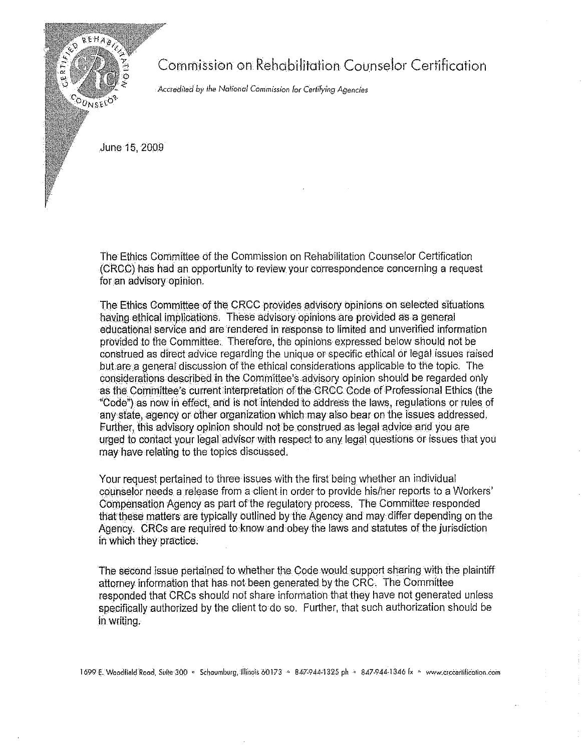

Commission on Rehabilitation Counselor Certification

Accredited by the National Commission for Certifying Agencies

June 15, 2009

The Ethics Committee of the Commission on Rehabilitation Counselor Certification (CRCC) has had an opportunity to review your correspondence concerning a request for an advisory opinion.

The Ethics Committee of the CRCC provides advisory opinions on selected situations. having ethical implications. These advisory opinions are provided as a general educational service and are rendered in response to limited and unverified information provided to the Committee. Therefore, the opinions expressed below should not be construed as direct advice regarding the unique or specific ethical or legal issues raised but are a general discussion of the ethical considerations applicable to the topic. The considerations described in the Committee's advisory opinion should be regarded only as the Committee's current interpretation of the CRCC Code of Professional Ethics (the "Code") as now in effect, and is not intended to address the laws, regulations or rules of any state, agency or other organization which may also bear on the issues addressed. Further, this advisory opinion should not be construed as legal advice and you are urged to contact your legal advisor with respect to any legal questions or issues that you may have relating to the topics discussed.

Your request pertained to three issues with the first being whether an individual counselor needs a release from a client in order to provide his/her reports to a Workers' Compensation Agency as part of the regulatory process. The Committee responded that these matters are typically outlined by the Agency and may differ depending on the Agency. CRCs are required to know and obey the laws and statutes of the jurisdiction in which they practice.

The second issue pertained to whether the Code would support sharing with the plaintiff attorney information that has not been generated by the CRC. The Committee responded that CRCs should not share information that they have not generated unless specifically authorized by the client to do so. Further, that such authorization should be in writing.

1699 E. Woodfield Rood, Suite 300 · Schoumburg, Illinots 60173 · 847-944-1325 ph · 847-944-1346 fx · www.crecertification.com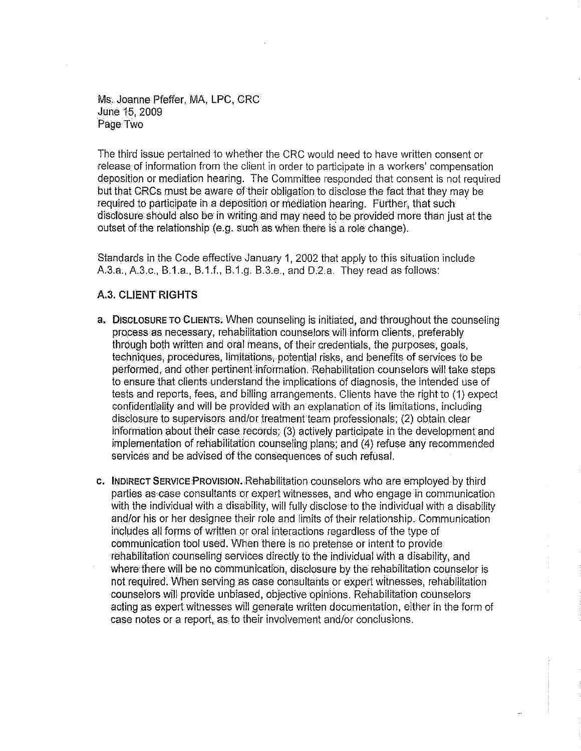Ms. Joanne Pfeffer, MA, LPG, CRG June 15, 2009 Page Two

The third issue pertained to whether the GRG would need to have written consent or release of information from the client in order to participate in a workers' compensation deposition or mediation hearing. The Committee responded that consent is not required but that CRCs must be aware of their obligation to disclose the fact that they may be required to participate in a deposition or mediation hearing. Further, that such disclosure should also be in writing and may need to be provided more than just at the outset of the relationship (e.g. such as when there is a role change).

Standards in the Code effective January 1, 2002 that apply to this situation include A.3.a., A.3.c., B.1.a., B.1.f., B.1.g. B.3.e., and D.2.a. They read as follows:

## A.3. **CLIENT RIGHTS**

- a. DISCLOSURE TO CLIENTS. When counseling is initiated, and throughout the counseling process as necessary, rehabilitation counselors will inform clients, preferably through both written ahd otal means, of their credentials, the purposes, goals, techniques, procedures, limitations, potential risks, and benefits of services to be performed, and other pertinent information. Rehabilitation counselors will take steps to ensure that clients understand the implications of diagnosis, the intended use of tests and reports, fees, and billing arrangements. Clients have the right to (1) expect confidentiality and will be provided with an explanation of its limitations, including disclosure to supervisors and/or treatment team professionals; (2) obtain clear information about their case records;  $(3)$  actively participate in the development and implementation of rehabilitation counseling plans; and (4) refuse any recommended services and be advised of the consequences of such refusal.
- C. INDIRECT SERVICE PROVISION. Rehabilitation counselors who are employed by third parties as case consultants or expert witnesses, and who engage in communication With the individual with a disability, will fully disclose to the individual with a disability and/or his or her designee their role and limits of their relationship. Communication includes all forms of written or oral interactions regardless of the type of communication tool used. When there is no pretense or intent to provide rehabilitation counseling services directly to the individual with a disability, and where there will be no communication, disclosure by the rehabilitation counselor is not required. When serving as case consultants or expert witnesses, rehabilitation counselors will provide unbiased, objective opinions. Rehabilitation counselors acting as expert witnesses will generate written documentation, either in the form of case notes or a report, as to their involvement and/or conclusions.